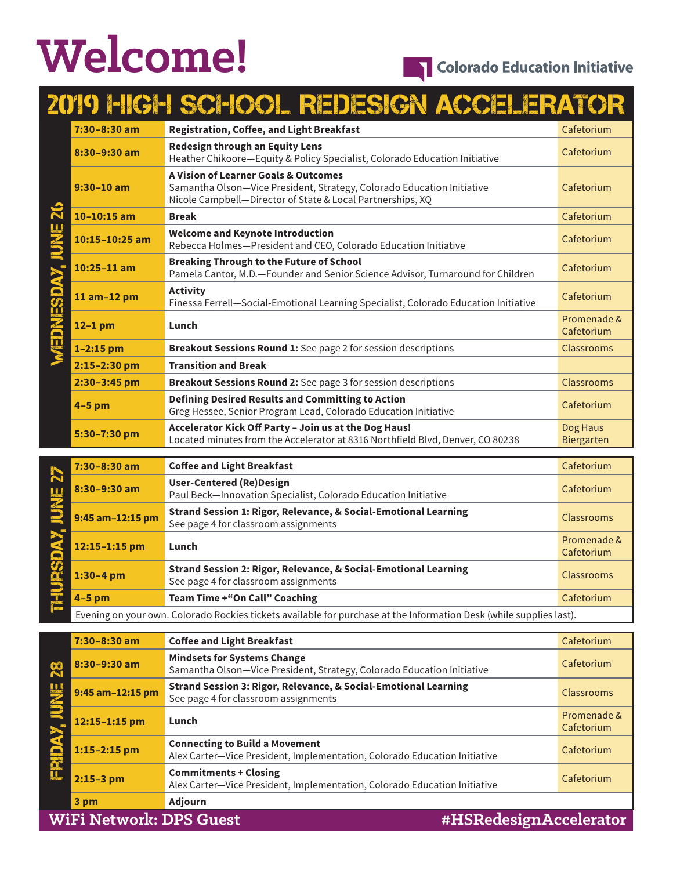# **Welcome!**

# 2019 HIGH SCHOOL REDESIGN ACCELERATOR

| 7:30-8:30 am     | <b>Registration, Coffee, and Light Breakfast</b>                                                                                                                                                                                                                                                                                                   | Cafetorium             |
|------------------|----------------------------------------------------------------------------------------------------------------------------------------------------------------------------------------------------------------------------------------------------------------------------------------------------------------------------------------------------|------------------------|
| $8:30 - 9:30$ am | <b>Redesign through an Equity Lens</b><br>Heather Chikoore-Equity & Policy Specialist, Colorado Education Initiative                                                                                                                                                                                                                               | Cafetorium             |
| $9:30 - 10$ am   | <b>A Vision of Learner Goals &amp; Outcomes</b><br>Samantha Olson-Vice President, Strategy, Colorado Education Initiative<br>Nicole Campbell-Director of State & Local Partnerships, XQ                                                                                                                                                            | Cafetorium             |
| $10-10:15$ am    | <b>Break</b>                                                                                                                                                                                                                                                                                                                                       | Cafetorium             |
| 10:15-10:25 am   | <b>Welcome and Keynote Introduction</b><br>Rebecca Holmes-President and CEO, Colorado Education Initiative                                                                                                                                                                                                                                         |                        |
| $10:25 - 11$ am  | <b>Breaking Through to the Future of School</b><br>Pamela Cantor, M.D.-Founder and Senior Science Advisor, Turnaround for Children                                                                                                                                                                                                                 | Cafetorium             |
| 11 am-12 pm      | <b>Activity</b><br>Finessa Ferrell-Social-Emotional Learning Specialist, Colorado Education Initiative                                                                                                                                                                                                                                             |                        |
| $12-1$ pm        | Lunch                                                                                                                                                                                                                                                                                                                                              |                        |
| $1 - 2:15$ pm    | Breakout Sessions Round 1: See page 2 for session descriptions                                                                                                                                                                                                                                                                                     |                        |
| 2:15-2:30 pm     | <b>Transition and Break</b>                                                                                                                                                                                                                                                                                                                        |                        |
| 2:30-3:45 pm     | Breakout Sessions Round 2: See page 3 for session descriptions                                                                                                                                                                                                                                                                                     | Classrooms             |
| $4-5$ pm         | <b>Defining Desired Results and Committing to Action</b><br>Greg Hessee, Senior Program Lead, Colorado Education Initiative                                                                                                                                                                                                                        | Cafetorium             |
| 5:30-7:30 pm     | Accelerator Kick Off Party - Join us at the Dog Haus!<br>Located minutes from the Accelerator at 8316 Northfield Blvd, Denver, CO 80238                                                                                                                                                                                                            | Dog Haus<br>Biergarten |
| 7:30-8:30 am     | <b>Coffee and Light Breakfast</b>                                                                                                                                                                                                                                                                                                                  | Cafetorium             |
| 8:30-9:30 am     | <b>User-Centered (Re)Design</b><br>Paul Beck-Innovation Specialist, Colorado Education Initiative                                                                                                                                                                                                                                                  |                        |
| 9:45 am-12:15 pm | Strand Session 1: Rigor, Relevance, & Social-Emotional Learning<br>See page 4 for classroom assignments                                                                                                                                                                                                                                            |                        |
| 12:15-1:15 pm    | Lunch                                                                                                                                                                                                                                                                                                                                              |                        |
| $1:30 - 4$ pm    | Strand Session 2: Rigor, Relevance, & Social-Emotional Learning<br>See page 4 for classroom assignments                                                                                                                                                                                                                                            |                        |
| $4-5$ pm         | <b>Team Time + "On Call" Coaching</b>                                                                                                                                                                                                                                                                                                              | Cafetorium             |
|                  | $\mathcal{L}$ and $\mathcal{L}$ and $\mathcal{L}$ and $\mathcal{L}$ and $\mathcal{L}$ and $\mathcal{L}$ and $\mathcal{L}$ and $\mathcal{L}$ and $\mathcal{L}$ and $\mathcal{L}$ and $\mathcal{L}$ and $\mathcal{L}$ and $\mathcal{L}$ and $\mathcal{L}$ and $\mathcal{L}$ and $\mathcal{L}$ and $\mathcal{L}$ and<br>$\mathbf{r}$ and $\mathbf{r}$ |                        |

| Team Time +"On Call" Coaching<br>4-5 pm                                                                             |            |
|---------------------------------------------------------------------------------------------------------------------|------------|
|                                                                                                                     | Cafetorium |
| Evening on your own. Colorado Rockies tickets available for purchase at the Information Desk (while supplies last). |            |

|                                                          | $7:30 - 8:30$ am | <b>Coffee and Light Breakfast</b>                                                                                  | Cafetorium                |
|----------------------------------------------------------|------------------|--------------------------------------------------------------------------------------------------------------------|---------------------------|
| $\mathbb{R}$                                             | 8:30-9:30 am     | <b>Mindsets for Systems Change</b><br>Samantha Olson-Vice President, Strategy, Colorado Education Initiative       | Cafetorium                |
| JUNE                                                     | 9:45 am-12:15 pm | Strand Session 3: Rigor, Relevance, & Social-Emotional Learning<br>See page 4 for classroom assignments            | Classrooms                |
|                                                          | 12:15-1:15 pm    | Lunch                                                                                                              | Promenade &<br>Cafetorium |
|                                                          | $1:15 - 2:15$ pm | <b>Connecting to Build a Movement</b><br>Alex Carter-Vice President, Implementation, Colorado Education Initiative | Cafetorium                |
|                                                          | $2:15-3$ pm      | <b>Commitments + Closing</b><br>Alex Carter-Vice President, Implementation, Colorado Education Initiative          | Cafetorium                |
|                                                          | 3 pm             | <b>Adjourn</b>                                                                                                     |                           |
| <b>WiFi Network: DPS Guest</b><br>#HSRedesignAccelerator |                  |                                                                                                                    |                           |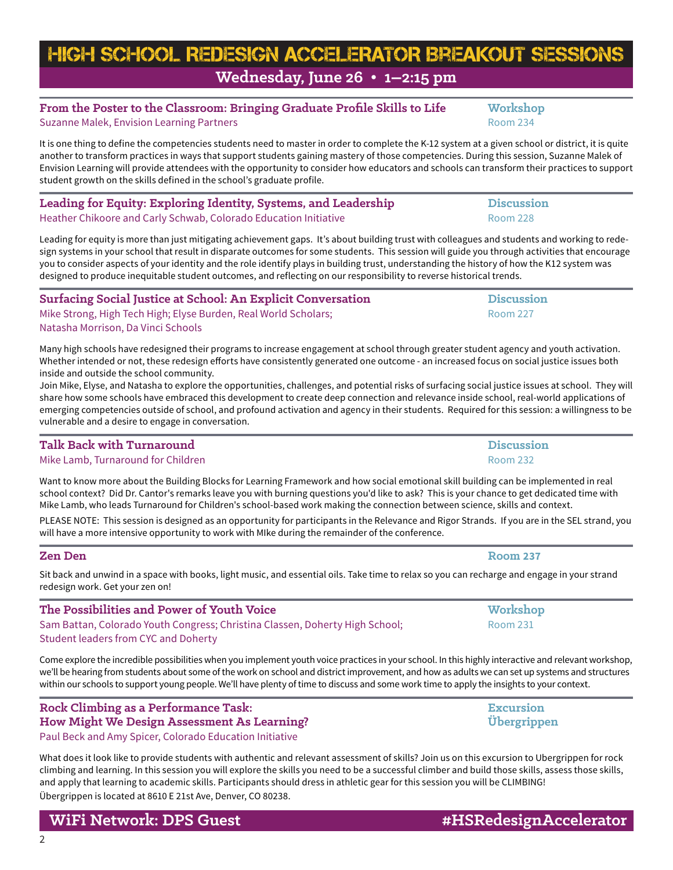# HIGH SCHOOL REDESIGN ACCELERATOR Breakout Sessions **Wednesday, June 26 • 1–2:15 pm**

# From the Poster to the Classroom: Bringing Graduate Profile Skills to Life **Workshop**

Suzanne Malek, Envision Learning Partners Room 234

It is one thing to define the competencies students need to master in order to complete the K-12 system at a given school or district, it is quite another to transform practices in ways that support students gaining mastery of those competencies. During this session, Suzanne Malek of Envision Learning will provide attendees with the opportunity to consider how educators and schools can transform their practices to support student growth on the skills defined in the school's graduate profile.

### **Leading for Equity: Exploring Identity, Systems, and Leadership Discussion** Heather Chikoore and Carly Schwab, Colorado Education Initiative **Room 228** Room 228

Leading for equity is more than just mitigating achievement gaps. It's about building trust with colleagues and students and working to redesign systems in your school that result in disparate outcomes for some students. This session will guide you through activities that encourage you to consider aspects of your identity and the role identify plays in building trust, understanding the history of how the K12 system was designed to produce inequitable student outcomes, and reflecting on our responsibility to reverse historical trends.

# **Surfacing Social Justice at School: An Explicit Conversation Discussion** Mike Strong, High Tech High; Elyse Burden, Real World Scholars; Norman 227 (Room 227)

Natasha Morrison, Da Vinci Schools

Many high schools have redesigned their programs to increase engagement at school through greater student agency and youth activation. Whether intended or not, these redesign efforts have consistently generated one outcome - an increased focus on social justice issues both inside and outside the school community.

Join Mike, Elyse, and Natasha to explore the opportunities, challenges, and potential risks of surfacing social justice issues at school. They will share how some schools have embraced this development to create deep connection and relevance inside school, real-world applications of emerging competencies outside of school, and profound activation and agency in their students. Required for this session: a willingness to be vulnerable and a desire to engage in conversation.

# **Talk Back with Turnaround Discussion**

Mike Lamb, Turnaround for Children Room 232

Want to know more about the Building Blocks for Learning Framework and how social emotional skill building can be implemented in real school context? Did Dr. Cantor's remarks leave you with burning questions you'd like to ask? This is your chance to get dedicated time with Mike Lamb, who leads Turnaround for Children's school-based work making the connection between science, skills and context.

PLEASE NOTE: This session is designed as an opportunity for participants in the Relevance and Rigor Strands. If you are in the SEL strand, you will have a more intensive opportunity to work with MIke during the remainder of the conference.

### **Zen Den Room 237**

2

Sit back and unwind in a space with books, light music, and essential oils. Take time to relax so you can recharge and engage in your strand redesign work. Get your zen on!

**The Possibilities and Power of Youth Voice Workshop Workshop** Sam Battan, Colorado Youth Congress; Christina Classen, Doherty High School; Room 231 Student leaders from CYC and Doherty

Come explore the incredible possibilities when you implement youth voice practices in your school. In this highly interactive and relevant workshop, we'll be hearing from students about some of the work on school and district improvement, and how as adults we can set up systems and structures within our schools to support young people. We'll have plenty of time to discuss and some work time to apply the insights to your context.

### **Rock Climbing as a Performance Task: Excursion How Might We Design Assessment As Learning? Übergrippen** Paul Beck and Amy Spicer, Colorado Education Initiative

What does it look like to provide students with authentic and relevant assessment of skills? Join us on this excursion to Ubergrippen for rock climbing and learning. In this session you will explore the skills you need to be a successful climber and build those skills, assess those skills, and apply that learning to academic skills. Participants should dress in athletic gear for this session you will be CLIMBING! Übergrippen is located at 8610 E 21st Ave, Denver, CO 80238.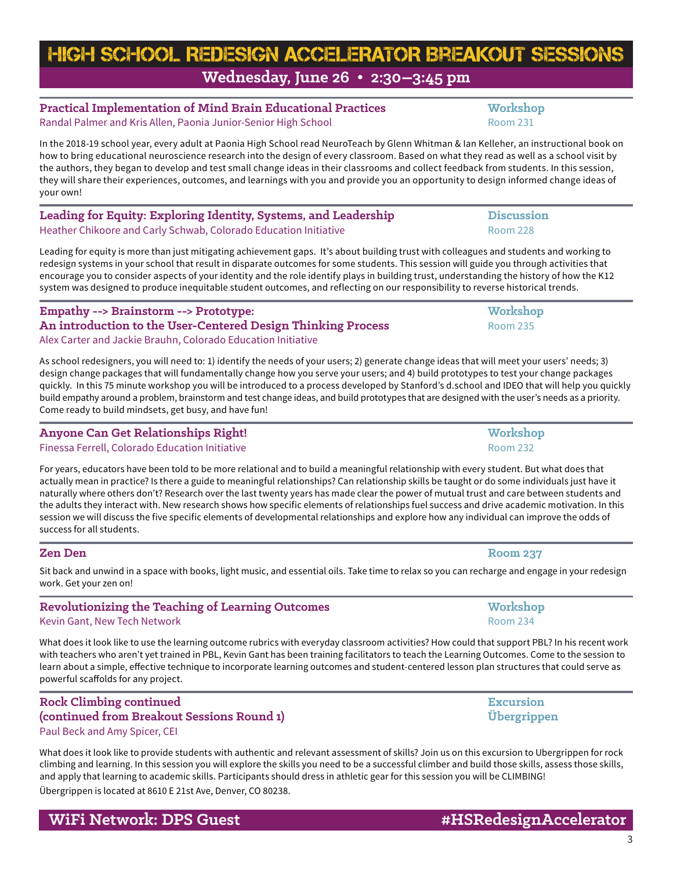3

# **Practical Implementation of Mind Brain Educational Practices Workshop** Randal Palmer and Kris Allen, Paonia Junior-Senior High School **Room 231** Room 231

In the 2018-19 school year, every adult at Paonia High School read NeuroTeach by Glenn Whitman & Ian Kelleher, an instructional book on how to bring educational neuroscience research into the design of every classroom. Based on what they read as well as a school visit by the authors, they began to develop and test small change ideas in their classrooms and collect feedback from students. In this session, they will share their experiences, outcomes, and learnings with you and provide you an opportunity to design informed change ideas of your own!

**Leading for Equity: Exploring Identity, Systems, and Leadership Discussion** Heather Chikoore and Carly Schwab, Colorado Education Initiative **Room 228** Room 228

Leading for equity is more than just mitigating achievement gaps. It's about building trust with colleagues and students and working to redesign systems in your school that result in disparate outcomes for some students. This session will guide you through activities that encourage you to consider aspects of your identity and the role identify plays in building trust, understanding the history of how the K12 system was designed to produce inequitable student outcomes, and reflecting on our responsibility to reverse historical trends.

**Empathy --> Brainstorm --> Prototype: Workshop An introduction to the User-Centered Design Thinking Process** Room 235 Alex Carter and Jackie Brauhn, Colorado Education Initiative

As school redesigners, you will need to: 1) identify the needs of your users; 2) generate change ideas that will meet your users' needs; 3) design change packages that will fundamentally change how you serve your users; and 4) build prototypes to test your change packages quickly. In this 75 minute workshop you will be introduced to a process developed by Stanford's d.school and IDEO that will help you quickly build empathy around a problem, brainstorm and test change ideas, and build prototypes that are designed with the user's needs as a priority. Come ready to build mindsets, get busy, and have fun!

# **Anyone Can Get Relationships Right! Workshop**

Finessa Ferrell, Colorado Education Initiative **Room 232** and Coloration Initiative Room 232

For years, educators have been told to be more relational and to build a meaningful relationship with every student. But what does that actually mean in practice? Is there a guide to meaningful relationships? Can relationship skills be taught or do some individuals just have it naturally where others don't? Research over the last twenty years has made clear the power of mutual trust and care between students and the adults they interact with. New research shows how specific elements of relationships fuel success and drive academic motivation. In this session we will discuss the five specific elements of developmental relationships and explore how any individual can improve the odds of success for all students.

Sit back and unwind in a space with books, light music, and essential oils. Take time to relax so you can recharge and engage in your redesign work. Get your zen on!

### **Revolutionizing the Teaching of Learning Outcomes Workshop** Kevin Gant, New Tech Network Room 234

What does it look like to use the learning outcome rubrics with everyday classroom activities? How could that support PBL? In his recent work with teachers who aren't yet trained in PBL, Kevin Gant has been training facilitators to teach the Learning Outcomes. Come to the session to learn about a simple, effective technique to incorporate learning outcomes and student-centered lesson plan structures that could serve as powerful scaffolds for any project.

### **Rock Climbing continued Excursion (continued from Breakout Sessions Round 1) Übergrippen** Paul Beck and Amy Spicer, CEI

What does it look like to provide students with authentic and relevant assessment of skills? Join us on this excursion to Ubergrippen for rock climbing and learning. In this session you will explore the skills you need to be a successful climber and build those skills, assess those skills, and apply that learning to academic skills. Participants should dress in athletic gear for this session you will be CLIMBING! Übergrippen is located at 8610 E 21st Ave, Denver, CO 80238.

**WiFi Network: DPS Guest All and Acceleration #HSRedesignAccelerator** 

**Zen Den Room 237**

# HIGH SCHOOL REDESIGN ACCELERATOR Breakout Sessions **Wednesday, June 26 • 2:30–3:45 pm**